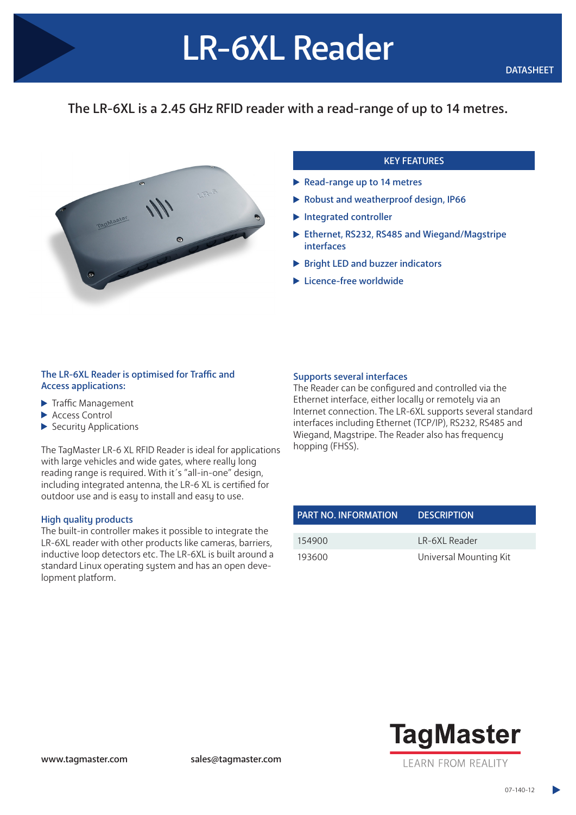# The LR-6XL is a 2.45 GHz RFID reader with a read-range of up to 14 metres.

LR-6XL Reader



# KEY FEATURES

- Read-range up to 14 metres
- Robust and weatherproof design, IP66
- $\blacktriangleright$  Integrated controller
- ▶ Ethernet, RS232, RS485 and Wiegand/Magstripe interfaces
- ▶ Bright LED and buzzer indicators
- ▶ Licence-free worldwide

## The LR-6XL Reader is optimised for Traffic and Access applications:

- $\blacktriangleright$  Traffic Management
- ▶ Access Control
- $\blacktriangleright$  Security Applications

The TagMaster LR-6 XL RFID Reader is ideal for applications with large vehicles and wide gates, where really long reading range is required. With it´s "all-in-one" design, including integrated antenna, the LR-6 XL is certified for outdoor use and is easy to install and easy to use.

#### High quality products

The built-in controller makes it possible to integrate the LR-6XL reader with other products like cameras, barriers, inductive loop detectors etc. The LR-6XL is built around a standard Linux operating system and has an open development platform.

## Supports several interfaces

The Reader can be configured and controlled via the Ethernet interface, either locally or remotely via an Internet connection. The LR-6XL supports several standard interfaces including Ethernet (TCP/IP), RS232, RS485 and Wiegand, Magstripe. The Reader also has frequency hopping (FHSS).

| <b>PART NO. INFORMATION</b> | <b>DESCRIPTION</b>     |
|-----------------------------|------------------------|
| 154900                      | LR-6XL Reader          |
| 193600                      | Universal Mounting Kit |